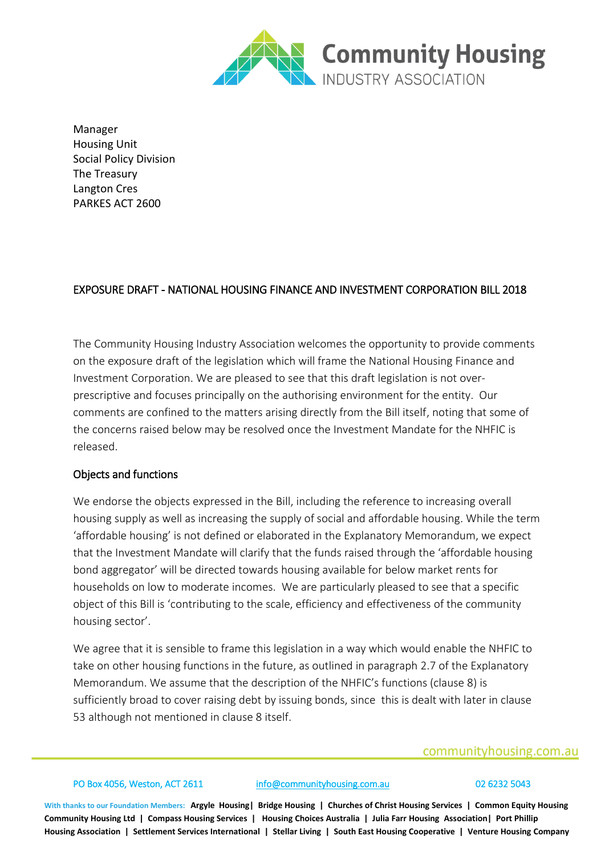

Manager Housing Unit Social Policy Division The Treasury Langton Cres PARKES ACT 2600

# EXPOSURE DRAFT - NATIONAL HOUSING FINANCE AND INVESTMENT CORPORATION BILL 2018

The Community Housing Industry Association welcomes the opportunity to provide comments on the exposure draft of the legislation which will frame the National Housing Finance and Investment Corporation. We are pleased to see that this draft legislation is not overprescriptive and focuses principally on the authorising environment for the entity. Our comments are confined to the matters arising directly from the Bill itself, noting that some of the concerns raised below may be resolved once the Investment Mandate for the NHFIC is released.

# Objects and functions

We endorse the objects expressed in the Bill, including the reference to increasing overall housing supply as well as increasing the supply of social and affordable housing. While the term 'affordable housing' is not defined or elaborated in the Explanatory Memorandum, we expect that the Investment Mandate will clarify that the funds raised through the 'affordable housing bond aggregator' will be directed towards housing available for below market rents for households on low to moderate incomes. We are particularly pleased to see that a specific object of this Bill is 'contributing to the scale, efficiency and effectiveness of the community housing sector'.

We agree that it is sensible to frame this legislation in a way which would enable the NHFIC to take on other housing functions in the future, as outlined in paragraph 2.7 of the Explanatory Memorandum. We assume that the description of the NHFIC's functions (clause 8) is sufficiently broad to cover raising debt by issuing bonds, since this is dealt with later in clause 53 although not mentioned in clause 8 itself.

# communityhousing.com.au

PO Box 4056, Weston, ACT 2611 [info@communityhousing.com.au](mailto:info@communityhousing.com.au) 02 6232 5043

**With thanks to our Foundation Members: Argyle Housing| Bridge Housing | Churches of Christ Housing Services | Common Equity Housing Community Housing Ltd | Compass Housing Services | Housing Choices Australia | Julia Farr Housing Association| Port Phillip Housing Association | Settlement Services International | Stellar Living | South East Housing Cooperative | Venture Housing Company**